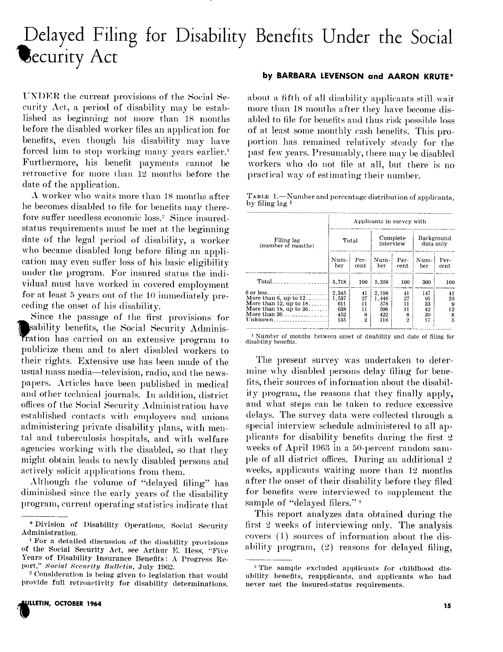# Delayed Filing for Disability Benefits Under the Social **Security Act**

UNDER the current provisions of the Social Seeurity Act, a period of disability may be established as beginning not more than 18 months before the disabled worker files an application for benefits, even though his disability may have forced him to stop working many years earlier.<sup>1</sup> Furthermore, his benefit payments cannot be retroactive for more than 12 months before the date of the application.

A worker who waits more than 18 months after he becomes disabled to file for benefits may therefore suffer needless economic loss.<sup>2</sup> Since insuredstatus requirements must be met at the beginning date of the legal period of disability, a worker who became disabled long before filing an application may even suffer loss of his basic eligibility under the program. For insured status the individual must have worked in covered employment for at least 5 years out of the 10 immediately preceding the onset of his disability.

Since the passage of the first provisions for sability benefits, the Social Security Administration has carried on an extensive program to publicize them and to alert disabled workers to their rights. Extensive use has been made of the usual mass media-television, radio, and the newspapers. Articles have been published in medical and other technical journals. In addition, district offices of the Social Security Administration have established contacts with employers and unions administering private disability plans, with mental and tuberculosis hospitals, and with welfare agencies working with the disabled, so that they might obtain leads to newly disabled persons and actively solicit applications from them.

Although the volume of "delayed filing" has diminished since the early years of the disability program, current operating statistics indicate that

<sup>2</sup> Consideration is being given to legislation that would provide full retroactivity for disability determinations.

### ULLETIN, OCTOBER 1964

#### by BARBARA LEVENSON and AARON KRUTE\*

about a fifth of all disability applicants still wait more than 18 months after they have become disabled to file for benefits and thus risk possible loss of at least some monthly cash benefits. This proportion has remained relatively steady for the past few years. Presumably, there may be disabled workers who do not file at all, but there is no practical way of estimating their number.

TABLE 1. - Number and percentage distribution of applicants, by filing lag 1

|                                    | Applicants in survey with- |                |                       |              |                         |              |  |  |  |  |
|------------------------------------|----------------------------|----------------|-----------------------|--------------|-------------------------|--------------|--|--|--|--|
| Filing lag<br>(number of months)   | Total                      |                | Complete<br>interview |              | Background<br>data only |              |  |  |  |  |
|                                    | Num-<br>ber                | Per-<br>cent   | Num-<br>ber           | Per-<br>cent | Num-<br>ber             | Per-<br>cent |  |  |  |  |
|                                    | 5,718                      | 100            | 5.358                 | 100          | 360                     | 100          |  |  |  |  |
| 6 or less<br>More than 6, up to 12 | 2,345<br>1,537             | 41<br>27       | 2.198<br>1.446        | 41<br>27     | 147<br>91               | 41<br>25     |  |  |  |  |
| More than 12, up to $18$           | 611                        | $\mathbf{11}$  | 578                   | 11           | 33                      | 9            |  |  |  |  |
| More than 18, up to 36             | 638                        | 11             | 596                   | 11           | 42                      | 12           |  |  |  |  |
| More than 36                       | 452                        | 8              | 422                   | 8            | 30                      | 8            |  |  |  |  |
| Unknown                            | 135                        | $\overline{2}$ | 118                   | $\bf{2}$     | 17                      | 5            |  |  |  |  |

<sup>1</sup> Number of months between onset of disability and date of filing for disability benefits.

The present survey was undertaken to determine why disabled persons delay filing for benefits, their sources of information about the disability program, the reasons that they finally apply, and what steps can be taken to reduce excessive delays. The survey data were collected through a special interview schedule administered to all applicants for disability benefits during the first 2 weeks of April 1963 in a 50-percent random sample of all district offices. During an additional 2 weeks, applicants waiting more than 12 months after the onset of their disability before they filed for benefits were interviewed to supplement the sample of "delayed filers."<sup>3</sup>

This report analyzes data obtained during the first 2 weeks of interviewing only. The analysis covers (1) sources of information about the disability program, (2) reasons for delayed filing.

<sup>\*</sup> Division of Disability Operations, Social Security Administration.

<sup>&</sup>lt;sup>1</sup> For a detailed discussion of the disability provisions of the Social Security Act, see Arthur E. Hess, "Five Years of Disability Insurance Benefits: A Progress Report," Social Security Bulletin, July 1962.

<sup>&</sup>lt;sup>3</sup> The sample excluded applicants for childhood disability benefits, reapplicants, and applicants who had never met the insured-status requirements.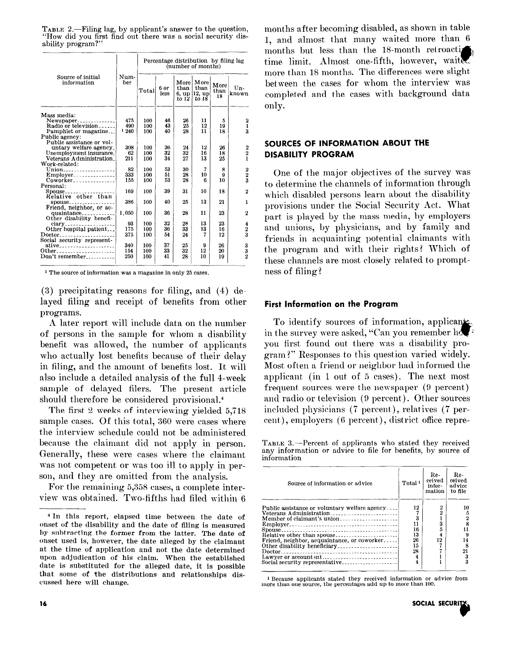TABLE 2.-Filing lag, by applicant's answer to the question. "How did you first find out there was a social security disability program?"

|                                         |             | Percentage distribution by filing lag<br>(number of months) |              |                                |                                     |                    |                         |  |
|-----------------------------------------|-------------|-------------------------------------------------------------|--------------|--------------------------------|-------------------------------------|--------------------|-------------------------|--|
| Source of initial<br>information        | Num-<br>ber | Total                                                       | 6 or<br>less | More<br>than<br>6. up<br>to 12 | More<br>than<br>$ 12, u_D$<br>to 18 | More<br>than<br>18 | Un-<br>known            |  |
| Mass media:                             |             |                                                             |              |                                |                                     |                    |                         |  |
| $News$ paper                            | 475         | 100                                                         | 46           | 26                             | 11                                  | 5                  | 2                       |  |
| Radio or television                     | 490         | 100                                                         | 43           | 25                             | 12                                  | 19                 | 1                       |  |
| Pamphlet or magazine                    | 1240        | 100                                                         | 40           | 28                             | 11                                  | 18                 | $\overline{\mathbf{a}}$ |  |
| Public agency:                          |             |                                                             |              |                                |                                     |                    |                         |  |
| Public assistance or vol-               |             |                                                             |              |                                |                                     |                    |                         |  |
| untary welfare agency.                  | 308         | 100                                                         | 36           | 24                             | 12                                  | 26                 |                         |  |
| Unemployment insurance.                 | 62          | 100                                                         | 32           | 32                             | 16                                  | 18                 | $\frac{2}{2}$           |  |
| Veterans Administration                 | 21 1        | 100                                                         | 34           | 27                             | 13                                  | 25                 |                         |  |
| Work-related:                           |             |                                                             |              |                                |                                     |                    |                         |  |
| Union                                   | 82          | 100                                                         | 53           | 30                             | 7                                   | 8                  |                         |  |
| $Emplayer$                              | 333         | 100                                                         | 51           | 28                             | 10                                  | 9                  | $\frac{2}{2}$           |  |
| $\overline{\text{Coworker}}$            | 155         | 100                                                         | 53           | 28                             | 6                                   | 10                 |                         |  |
| Personal:                               |             |                                                             |              |                                |                                     |                    |                         |  |
| Spouse                                  | 169         | 100                                                         | 39           | 31                             | 10                                  | 18                 | $\bf{2}$                |  |
| Relative other than                     |             |                                                             |              |                                |                                     |                    |                         |  |
| 8Douse                                  | 386         | 100                                                         | 40           | 25                             | 13                                  | 21                 | 1                       |  |
| Friend, neighbor, or ac-                |             |                                                             |              |                                |                                     |                    |                         |  |
| quaintance                              | 1,050       | 100                                                         | 36           | 28                             | 11                                  | 23                 | $\boldsymbol{2}$        |  |
| Other disability benefi-                |             |                                                             |              |                                |                                     |                    |                         |  |
|                                         | 93          | 100                                                         | 32           | 28                             | 13                                  | 23                 | 4                       |  |
| Other hospital patient                  | 175         | 100                                                         | 36           | 33                             | 13                                  | 16                 | $\frac{2}{3}$           |  |
| Doctor <sub>---------------------</sub> | 375         | 100                                                         | 54           | 24                             | 7                                   | 12                 |                         |  |
| Social security represent-              |             |                                                             |              |                                |                                     |                    |                         |  |
| ative <sub>---------------------</sub>  | 340         | 100                                                         | 37           | 25                             | 9                                   | 26                 |                         |  |
| Other                                   | 154         | 100                                                         | 33           | 32                             | 12                                  | 20                 | $\frac{3}{2}$           |  |
| Don't remember                          | 250         | 100                                                         | 41           | 28                             | 10                                  | 19                 |                         |  |

<sup>1</sup> The source of information was a magazine in only 25 cases.

 $(3)$  precipitating reasons for filing, and  $(4)$  delayed filing and receipt of benefits from other programs.

A later report will include data on the number of persons in the sample for whom a disability benefit was allowed, the number of applicants who actually lost benefits because of their delay in filing, and the amount of benefits lost. It will also include a detailed analysis of the full 4-week sample of delayed filers. The present article should therefore be considered provisional.<sup>4</sup>

The first 2 weeks of interviewing yielded 5,718 sample cases. Of this total, 360 were cases where the interview schedule could not be administered because the claimant did not apply in person. Generally, these were cases where the claimant was not competent or was too ill to apply in person, and they are omitted from the analysis.

For the remaining 5,358 cases, a complete interview was obtained. Two-fifths had filed within 6 months after becoming disabled, as shown in table 1, and almost that many waited more than 6 months but less than the 18-month retroaction time limit. Almost one-fifth, however, waite more than 18 months. The differences were slight between the cases for whom the interview was completed and the cases with background data only.

# SOURCES OF INFORMATION ABOUT THE **DISABILITY PROGRAM**

One of the major objectives of the survey was to determine the channels of information through which disabled persons learn about the disability provisions under the Social Security Act. What part is played by the mass media, by employers and unions, by physicians, and by family and friends in acquainting potential claimants with the program and with their rights? Which of these channels are most closely related to promptness of filing?

#### **First Information on the Program**

To identify sources of information, applicant in the survey were asked, "Can you remember how you first found out there was a disability program?" Responses to this question varied widely. Most often a friend or neighbor had informed the applicant (in 1 out of 5 cases). The next most frequent sources were the newspaper (9 percent) and radio or television (9 percent). Other sources included physicians (7 percent), relatives (7 percent), employers (6 percent), district office repre-

TABLE 3.—Percent of applicants who stated they received any information or advice to file for benefits, by source of information

| Source of information or advice                                                                                          | Total <sup>1</sup>                          | Re-<br>ceived<br>infor-<br>mation | Re-<br>ceived<br>advice<br>to file |
|--------------------------------------------------------------------------------------------------------------------------|---------------------------------------------|-----------------------------------|------------------------------------|
| Public assistance or voluntary welfare agency <br>Veterans Administration<br>Friend, neighbor, acquaintance, or coworker | 12<br>3<br>11<br>16<br>13<br>26<br>15<br>28 | 2<br>2<br>3<br>12                 | 10<br>14<br>я<br>21                |

 $\,$   $\,$  1 Because applicants stated they received information or advice from more than one source, the percentages add up to more than 100.



<sup>&</sup>lt;sup>4</sup> In this report, elapsed time between the date of onset of the disability and the date of filing is measured by subtracting the former from the latter. The date of onset used is, however, the date alleged by the claimant at the time of application and not the date determined upon adjudication of his claim. When the established date is substituted for the alleged date, it is possible that some of the distributions and relationships discussed here will change.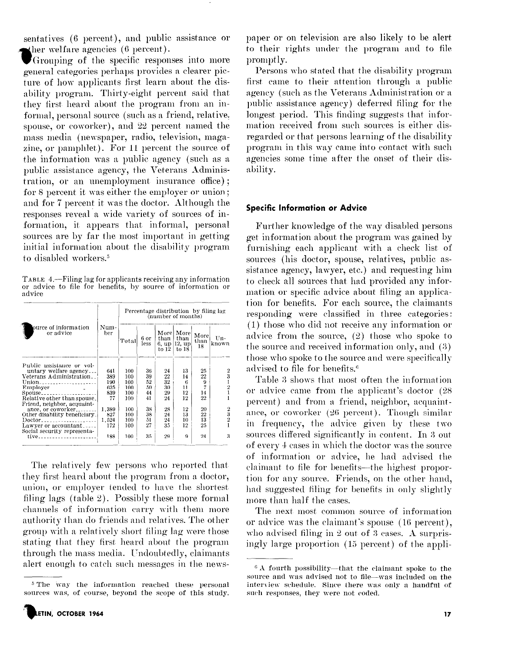sentatives (6 percent), and public assistance or ther welfare agencies  $(6$  percent).

Grouping of the specific responses into more general categories perhaps provides a clearer picture of how applicants first learn about the disability program. Thirty-eight percent said that they first heard about the program from an informal, personal source (such as a friend, relative. spouse, or coworker), and 22 percent named the mass media (newspaper, radio, television, magazine, or pamphlet). For 11 percent the source of the information was a public agency (such as a public assistance agency, the Veterans Administration, or an unemployment insurance office); for 8 percent it was either the employer or union; and for 7 percent it was the doctor. Although the responses reveal a wide variety of sources of information, it appears that informal, personal sources are by far the most important in getting initial information about the disability program to disabled workers.<sup>5</sup>

TABLE 4.—Filing lag for applicants receiving any information or advice to file for benefits, by source of information or advice

|                                                            |             |       | (number of months) | Percentage distribution by filing lag |                                                       |                    |                |
|------------------------------------------------------------|-------------|-------|--------------------|---------------------------------------|-------------------------------------------------------|--------------------|----------------|
| ource of information.<br>or advice                         | Num-<br>ber | Total | 6 or<br>less       | Morel<br>than  <br>to 12              | $\vert$ More $\vert$<br>than<br>6, up 12, up<br>to 18 | More<br>than<br>18 | $Un-$<br>known |
| Public assistance or vol-                                  |             |       |                    |                                       |                                                       |                    |                |
| untary welfare agency                                      | 641         | 100   | 36                 | 24                                    | 13                                                    | 25                 |                |
| Veterans Administration                                    | 389         | 100   | 39                 | 22                                    | 14                                                    | 22                 |                |
| Union                                                      | 190         | 100   | 52                 | 32                                    | 6                                                     | 9                  |                |
|                                                            | 625         | 100   | 50                 | 30                                    | 11                                                    |                    |                |
|                                                            | 839         | 100   | 44                 | 29                                    | 12                                                    | 14                 |                |
| Relative other than spouse.<br>Friend, neighbor, acquaint- | 77          | 100   | 41                 | 24                                    | 12                                                    | $^{22}$            |                |
| ance, or coworker                                          | 1.389       | 100   | 38                 | 28                                    | 12                                                    | 20                 |                |
| Other disability beneficiary.                              | 827         | 100   | 38                 | 24                                    | 13                                                    | 22                 | 3              |
| Doctor <sub>------------------</sub> ----                  | 1.524       | 100   | 51                 | 24                                    | 10                                                    | 13                 | $\overline{2}$ |
| Lawyer or accountant                                       | 172         | 100   | 27                 | 35                                    | 12                                                    | 25                 |                |
| Social security representa-                                |             |       |                    |                                       |                                                       |                    |                |
| $tiv$ e                                                    | 188         | 100   | 35                 | 29                                    | 0                                                     | 24                 | 3              |

The relatively few persons who reported that they first heard about the program from a doctor, union, or employer tended to have the shortest filing lags (table 2). Possibly these more formal channels of information carry with them more authority than do friends and relatives. The other group with a relatively short filing lag were those stating that they first heard about the program through the mass media. Undoubtedly, claimants alert enough to catch such messages in the newspaper or on television are also likely to be alert to their rights under the program and to file promptly.

Persons who stated that the disability program first came to their attention through a public agency (such as the Veterans Administration or a public assistance agency) deferred filing for the longest period. This finding suggests that information received from such sources is either disregarded or that persons learning of the disability program in this way came into contact with such agencies some time after the onset of their disability.

## **Specific Information or Advice**

Further knowledge of the way disabled persons get information about the program was gained by furnishing each applicant with a check list of sources (his doctor, spouse, relatives, public assistance agency, lawyer, etc.) and requesting him to check all sources that had provided any information or specific advice about filing an application for benefits. For each source, the claimants responding were classified in three categories: (1) those who did not receive any information or advice from the source,  $(2)$  those who spoke to the source and received information only, and (3) those who spoke to the source and were specifically advised to file for benefits.<sup>6</sup>

Table 3 shows that most often the information or advice came from the applicant's doctor (28 percent) and from a friend, neighbor, acquaintance, or coworker (26 percent). Though similar in frequency, the advice given by these two sources differed significantly in content. In 3 out of every 4 cases in which the doctor was the source of information or advice, he had advised the claimant to file for benefits-the highest proportion for any source. Friends, on the other hand, had suggested filing for benefits in only slightly more than half the cases.

The next most common source of information or advice was the claimant's spouse (16 percent), who advised filing in 2 out of 3 cases. A surprisingly large proportion (15 percent) of the appli-

<sup>&</sup>lt;sup>5</sup> The way the information reached these personal sources was, of course, beyond the scope of this study.

<sup>&</sup>lt;sup>6</sup> A fourth possibility---that the claimant spoke to the source and was advised not to file-was included on the interview schedule. Since there was only a handful of such responses, they were not coded.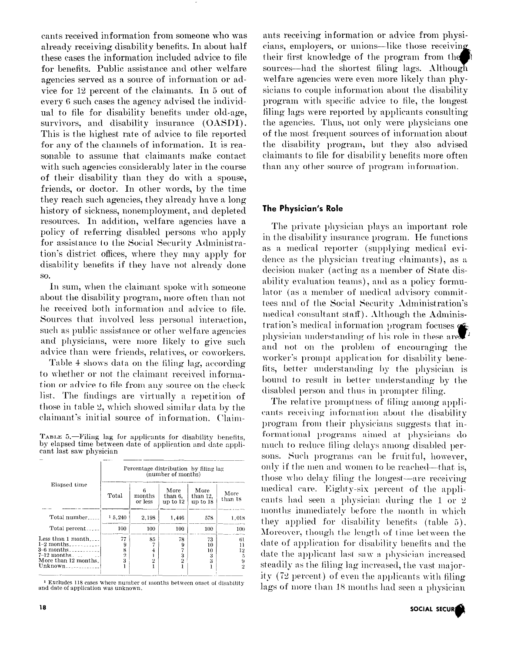cants received information from someone who was already receiving disability benefits. In about half these cases the information included advice to file for benefits. Public assistance and other welfare agencies served as a source of information or advice for 12 percent of the claimants. In 5 out of every 6 such cases the agency advised the individual to file for disability benefits under old-age, survivors, and disability insurance (OASDI). This is the highest rate of advice to file reported for any of the channels of information. It is reasonable to assume that claimants make contact with such agencies considerably later in the course of their disability than they do with a spouse, friends, or doctor. In other words, by the time they reach such agencies, they already have a long history of sickness, nonemployment, and depleted resources. In addition, welfare agencies have a policy of referring disabled persons who apply for assistance to the Social Security Administration's district offices, where they may apply for disability benefits if they have not already done SO.

In sum, when the claimant spoke with someone about the disability program, more often than not he received both information and advice to file. Sources that involved less personal interaction. such as public assistance or other welfare agencies and physicians, were more likely to give such advice than were friends, relatives, or coworkers.

Table 4 shows data on the filing lag, according to whether or not the claimant received information or advice to file from any source on the check list. The findings are virtually a repetition of those in table 2, which showed similar data by the claimant's initial source of information. Claim-

TABLE 5.—Filing lag for applicants for disability benefits. by elapsed time between date of application and date applicant last saw physician

|                                                                                                                              | Percentage distribution by filing lag<br>(number of months) |                        |                             |                              |                          |  |  |  |  |  |
|------------------------------------------------------------------------------------------------------------------------------|-------------------------------------------------------------|------------------------|-----------------------------|------------------------------|--------------------------|--|--|--|--|--|
| Elapsed time                                                                                                                 | Total                                                       | 6<br>months<br>or less | More<br>than 6.<br>up to 12 | More<br>than 12.<br>up to 18 | More<br>than 18          |  |  |  |  |  |
| Total number                                                                                                                 | 1, 5, 240                                                   | 2,198                  | 1,446                       | 578                          | 1,018                    |  |  |  |  |  |
| Total percent                                                                                                                | 100                                                         | 100                    | 100                         | 100                          | 100                      |  |  |  |  |  |
| Less than $1$ month<br>$1-2$ months<br>$3-6$ months $\sim$ . The most set of $\sim$<br>$7-12$ months<br>More than 12 months. | 77<br>8<br>2<br>3                                           | 85<br>9                | 78<br>9<br>3<br>2           | 73<br>10<br>10<br>3<br>3     | 61<br>11<br>12<br>5<br>9 |  |  |  |  |  |
| Unknown                                                                                                                      |                                                             |                        |                             |                              | 2                        |  |  |  |  |  |

<sup>1</sup> Excludes 118 cases where number of months between onset of disability and date of application was unknown.

ants receiving information or advice from physicians, employers, or unions—like those receiving their first knowledge of the program from the sources—had the shortest filing lags. Although welfare agencies were even more likely than physicians to couple information about the disability program with specific advice to file, the longest filing lags were reported by applicants consulting the agencies. Thus, not only were physicians one of the most frequent sources of information about the disability program, but they also advised elaimants to file for disability benefits more often than any other source of program information.

#### The Physician's Role

The private physician plays an important role in the disability insurance program. He functions as a medical reporter (supplying medical evidence as the physician treating claimants), as a decision maker (acting as a member of State disability evaluation teams), and as a policy formulator (as a member of medical advisory committees and of the Social Security Administration's medical consultant staff). Although the Administration's medical information program focuses of physician understanding of his role in these are. and not on the problem of encouraging the worker's prompt application for disability benefits, better understanding by the physician is bound to result in better understanding by the disabled person and thus in prompter filing.

The relative promptness of filing among applicants receiving information about the disability program from their physicians suggests that informational programs aimed at physicians do much to reduce filing delays among disabled persons. Such programs can be fruitful, however, only if the men and women to be reached—that is, those who delay filing the longest—are receiving medical care. Eighty-six percent of the applicants had seen a physician during the 1 or 2 months immediately before the month in which they applied for disability benefits (table 5). Moreover, though the length of time between the date of application for disability benefits and the date the applicant last saw a physician increased steadily as the filing lag increased, the vast majority (72 percent) of even the applicants with filing lags of more than 18 months had seen a physician

SOCIAL SECUR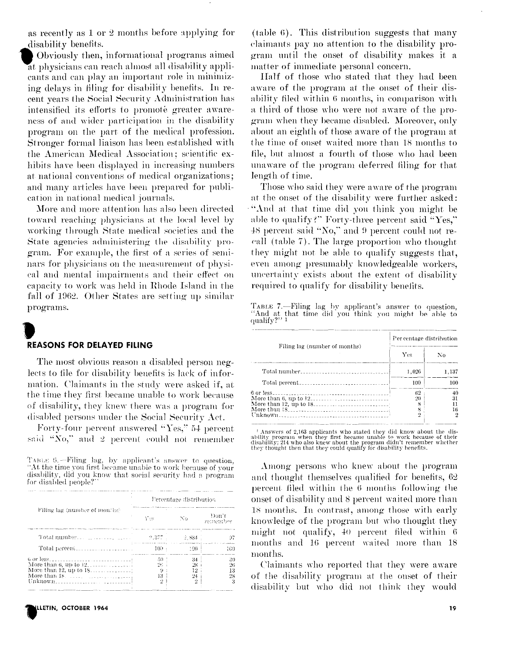as recently as 1 or 2 months before applying for disability benefits.

Obviously then, informational programs aimed at physicians can reach almost all disability applicants and can play an important role in minimizing delays in filing for disability benefits. In recent years the Social Security Administration has intensified its efforts to promote greater awareness of and wider participation in the disability program on the part of the medical profession. Stronger formal liaison has been established with the American Medical Association; scientific exhibits have been displayed in increasing numbers at national conventions of medical organizations; and many articles have been prepared for publication in national medical journals.

More and more attention has also been directed toward reaching physicians at the local level by working through State medical societies and the State agencies administering the disability program. For example, the first of a series of seminars for physicians on the measurement of physical and mental impairments and their effect on eapacity to work was held in Rhode Island in the fall of 1962. Other States are setting up similar programs.

#### **REASONS FOR DELAYED FILING**

The most obvious reason a disabled person neglects to file for disability benefits is lack of information. Claimants in the study were asked if, at the time they first became unable to work because of disability, they knew there was a program for disabled persons under the Social Security Act.

Forty-four percent answered "Yes," 54 percent said "No," and 2 percent could not remember

TABLE 6. - Filing lag, by applicant's answer to question, "At the time you first became unable to work because of your disability, did you know that social security had a program for disabled people?

|                                                                                        |                                                                          | Percentage distribution     |                      |
|----------------------------------------------------------------------------------------|--------------------------------------------------------------------------|-----------------------------|----------------------|
| Filing lag (number of months)                                                          | Yes.                                                                     | No                          | Don't<br>remember    |
|                                                                                        |                                                                          |                             | 97                   |
|                                                                                        | and consider the company of the construction of the same of a<br>$100 -$ | 100 -                       | 109                  |
| More than 6, up to $12$ ,<br>More than $18.$ $\ldots$ , $\ldots$ , $\ldots$ , $\ldots$ | 50<br>96.<br>iЗ<br>۰,                                                    | 34<br>28.<br>12<br>24.<br>ゥ | 30<br>26<br>13<br>28 |



(table 6). This distribution suggests that many elaimants pay no attention to the disability program until the onset of disability makes it a matter of immediate personal concern.

Half of those who stated that they had been aware of the program at the onset of their disability filed within 6 months, in comparison with a third of those who were not aware of the program when they became disabled. Moreover, only about an eighth of those aware of the program at the time of onset waited more than 18 months to file, but almost a fourth of those who had been unaware of the program deferred filing for that length of time.

Those who said they were aware of the program at the onset of the disability were further asked: "And at that time did you think you might be able to qualify?" Forty-three percent said "Yes," 48 percent said "No," and 9 percent could not recall (table 7). The large proportion who thought they might not be able to qualify suggests that, even among presumably knowledgeable workers, uncertainty exists about the extent of disability required to qualify for disability benefits.

TABLE 7.-Filing lag by applicant's answer to question, "And at that time did you think you might be able to qualify?"

|                               | Per centage distribution |                     |
|-------------------------------|--------------------------|---------------------|
| Filing lag (number of months) | Yes                      | Nο                  |
|                               | 1.026                    | 1.137               |
|                               | 100                      | 100                 |
|                               | 62<br>20<br>8<br>x<br>≘  | 40<br>31<br>16<br>2 |

 $^\dagger$  Answers of 2,163 applicants who stated they did know about the disability program when they first became unable to work because of their disability; 214 who also knew about the program didn't remember whether they t

Among persons who knew about the program and thought themselves qualified for benefits, 62 percent filed within the 6 months following the onset of disability and 8 percent waited more than 18 months. In contrast, among those with early knowledge of the program but who thought they might not qualify, 40 percent filed within 6 months and 16 percent waited more than 18 months.

Claimants who reported that they were aware of the disability program at the onset of their disability but who did not think they would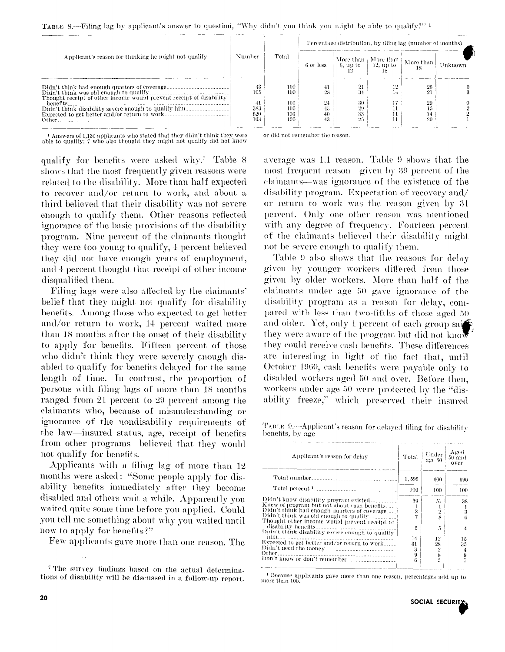|  | TABLE 8.—Filing lag by applicant's answer to question, "Why didn't you think you might be able to qualify?" <sup>1</sup> |  |  |  |  |  |
|--|--------------------------------------------------------------------------------------------------------------------------|--|--|--|--|--|
|  |                                                                                                                          |  |  |  |  |  |

|                                                                                                                     |                         |                          |          | Percentage distribution, by filing lag (number of months) |                                                                                                                                                                                                                                                                                                                                                                                                                          |          |         |
|---------------------------------------------------------------------------------------------------------------------|-------------------------|--------------------------|----------|-----------------------------------------------------------|--------------------------------------------------------------------------------------------------------------------------------------------------------------------------------------------------------------------------------------------------------------------------------------------------------------------------------------------------------------------------------------------------------------------------|----------|---------|
| Applicant's reason for thinking he might not qualify                                                                | Number                  | Total                    |          |                                                           | $\begin{array}{c c c c c} & \text{More than} & \text{More than} & \text{More than} & \text{More than} & \text{12, up to} & \text{18} & \text{18} & \text{18} & \text{18} & \text{18} & \text{18} & \text{18} & \text{18} & \text{18} & \text{18} & \text{18} & \text{18} & \text{18} & \text{18} & \text{18} & \text{18} & \text{18} & \text{18} & \text{18} & \text{18} & \text{18} & \text{18} & \text{18} & \text{18$ |          | Unknown |
| Didn't think had enough quarters of coverage<br>Thought receipt of other income would prevent receipt of disability | 43<br>105               | 100<br>100               | 28       |                                                           |                                                                                                                                                                                                                                                                                                                                                                                                                          |          |         |
| henefits<br>Didn't think disability severe enough to qualify him<br>Other.                                          | 41<br>383<br>620<br>103 | 100<br>100<br>100<br>100 | 24<br>43 | 30<br>29<br>33<br>25                                      | ιï.                                                                                                                                                                                                                                                                                                                                                                                                                      | 29<br>20 |         |

 $^{-1}$  Answers of 1,130 applicants who stated that they didn't think they were able to qualify;  $7$  who also thought they might not qualify did not know

qualify for benefits were asked why. Table 8 shows that the most frequently given reasons were related to the disability. More than half expected to recover and/or return to work, and about a third believed that their disability was not severe enough to qualify them. Other reasons reflected ignorance of the basic provisions of the disability program. Nine percent of the claimants thought they were too young to qualify, 4 percent believed they did not have enough years of employment, and 4 percent thought that receipt of other income disqualified them.

Filing lags were also affected by the claimants' belief that they might not qualify for disability benefits. Among those who expected to get better and/or return to work, 14 percent waited more than 18 months after the onset of their disability to apply for benefits. Fifteen percent of those who didn't think they were severely enough disabled to qualify for benefits delayed for the same length of time. In contrast, the proportion of persons with filing lags of more than 18 months ranged from 21 percent to 29 percent among the claimants who, because of misunderstanding or ignorance of the nondisability requirements of the law-insured status, age, receipt of benefits from other programs—believed that they would not qualify for benefits.

Applicants with a filing lag of more than 12 months were asked: "Some people apply for disability benefits immediately after they become disabled and others wait a while. Apparently you waited quite some time before you applied. Could you tell me something about why you waited until now to apply for benefits?"

Few applicants gave more than one reason. The

or did not remember the reason.

average was 1.1 reason. Table 9 shows that the most frequent reason—given by 39 percent of the claimants—was ignorance of the existence of the disability program. Expectation of recovery and/ or return to work was the reason given by 31 percent. Only one other reason was mentioned with any degree of frequency. Fourteen percent of the claimants believed their disability might not be severe enough to qualify them.

Table 9 also shows that the reasons for delay given by younger workers differed from those given by older workers. More than half of the claimants under age 50 gave ignorance of the disability program as a reason for delay, compared with less than two-fifths of those aged 50 and older. Yet, only 1 percent of each group say they were aware of the program but did not know they could receive cash benefits. These differences are interesting in light of the fact that, until October 1960, eash benefits were payable only to disabled workers aged 50 and over. Before then. workers under age 50 were protected by the "disability freeze," which preserved their insured

TABLE 9.- Applicant's reason for delayed filing for disability benefits, by age

| Applicant's reason for delay                     | Total | Under<br>age 50 | Aged<br>50 and<br>over |
|--------------------------------------------------|-------|-----------------|------------------------|
|                                                  | 1,596 | 600             | 996                    |
|                                                  | 100   | 100             | 100                    |
| Didn't know disability program existed!          | 39    | 51              | 38                     |
| Knew of program but not about cash benefits.     |       |                 |                        |
| Didn't think had enough quarters of coverage     | 3     | $\overline{2}$  | 3                      |
| Didn't think was old enough to qualify           |       | ×               | 6                      |
| Thought other income would prevent receipt of    |       |                 |                        |
|                                                  | 5     | 5               | 4                      |
| Didn't think disability severe enough to qualify |       |                 |                        |
| him<br>. <b>. .</b>                              | 14    | 12              | 15                     |
| Expected to get better and/or return to work!    | 31    | 28              | 35                     |
|                                                  | 3     | 2               | 4                      |
|                                                  | 9     | 8               | 9                      |
| Don't know or don't remember                     | 6     | 5               |                        |

<sup>1</sup> Because applicants gave more than one reason, percentages add up to more than 100

<sup>&</sup>lt;sup>7</sup> The survey findings based on the actual determinations of disability will be discussed in a follow-up report.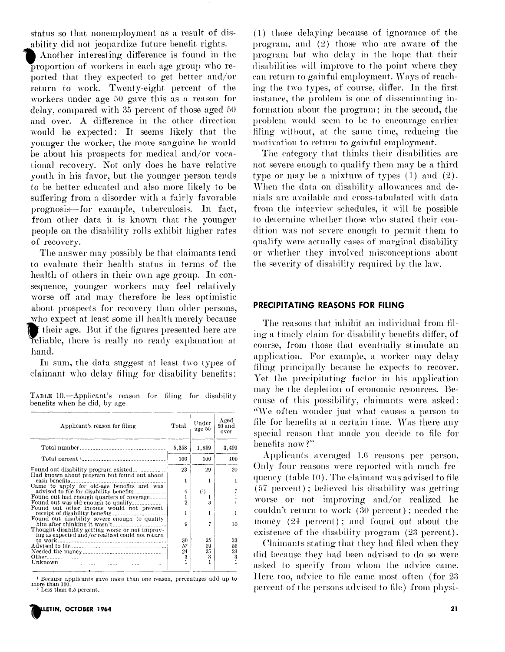status so that nonemployment as a result of disability did not jeopardize future benefit rights.

Another interesting difference is found in the proportion of workers in each age group who reported that they expected to get better and/or return to work. Twenty-eight percent of the workers under age 50 gave this as a reason for delay, compared with 35 percent of those aged 50 and over. A difference in the other direction would be expected: It seems likely that the younger the worker, the more sanguine he would be about his prospects for medical and/or vocational recovery. Not only does he have relative youth in his favor, but the younger person tends to be better educated and also more likely to be suffering from a disorder with a fairly favorable prognosis—for example, tuberculosis. In fact, from other data it is known that the younger people on the disability rolls exhibit higher rates of recovery.

The answer may possibly be that claimants tend to evaluate their health status in terms of the health of others in their own age group. In consequence, younger workers may feel relatively worse off and may therefore be less optimistic about prospects for recovery than older persons, who expect at least some ill health merely because f their age. But if the figures presented here are reliable, there is really no ready explanation at hand.

In sum, the data suggest at least two types of elaimant who delay filing for disability benefits:

TABLE 10.-Applicant's reason for filing for disability benefits when he did, by age

| Applicant's reason for filing                                                         | Total          | Under<br>age 50 | Aged<br>50 and<br>over |
|---------------------------------------------------------------------------------------|----------------|-----------------|------------------------|
| Total number                                                                          | 5,358          | 1,859           | 3,499                  |
| Total percent <sup>1</sup> <sub>-----</sub> ---------------------------               | 100            | 100             | 100                    |
| Found out disability program existed                                                  | 23             | 29              | 20                     |
| Had known about program but found out about<br>cash benefits                          | 1              |                 |                        |
| Came to apply for old-age benefits and was<br>advised to file for disability benefits | 4              | (2)             |                        |
| Found out had enough quarters of coverage                                             | 1              |                 |                        |
| Found out was old enough to qualify                                                   | $\overline{2}$ | 3               |                        |
| Found out other income would not prevent                                              |                |                 |                        |
| receipt of disability benefits                                                        |                |                 |                        |
| Found out disability severe enough to qualify                                         |                |                 |                        |
| him after thinking it wasn't                                                          | 9              |                 | 10                     |
| Thought disability getting worse or not improv-                                       |                |                 |                        |
| ing as expected and/or realized could not return                                      |                |                 |                        |
|                                                                                       | 30             | 25              | 33                     |
|                                                                                       | 57             | 59              | 55                     |
|                                                                                       | 24             | 25              | 23                     |
|                                                                                       | 3              | 3               | 3                      |
|                                                                                       |                |                 |                        |
| $\bullet$                                                                             |                |                 |                        |

 $^1$  Because applicants gave more than one reason, percentages add up to more than 100.  $^2$  Less than 0.5 percent.

(1) those delaying because of ignorance of the program, and  $(2)$  those who are aware of the program but who delay in the hope that their disabilities will improve to the point where they can return to gainful employment. Ways of reaching the two types, of course, differ. In the first instance, the problem is one of disseminating information about the program; in the second, the problem would seem to be to encourage earlier filing without, at the same time, reducing the motivation to return to gainful employment.

The category that thinks their disabilities are not severe enough to qualify them may be a third type or may be a mixture of types  $(1)$  and  $(2)$ . When the data on disability allowances and denials are available and cross-tabulated with data from the interview schedules, it will be possible to determine whether those who stated their condition was not severe enough to permit them to qualify were actually cases of marginal disability or whether they involved misconceptions about the severity of disability required by the law.

#### PRECIPITATING REASONS FOR FILING

The reasons that inhibit an individual from filing a timely claim for disability benefits differ, of course, from those that eventually stimulate an application. For example, a worker may delay filing principally because he expects to recover. Yet the precipitating factor in his application may be the depletion of economic resources. Because of this possibility, claimants were asked: "We often wonder just what causes a person to file for benefits at a certain time. Was there any special reason that made you decide to file for benefits now?"

Applicants averaged 1.6 reasons per person. Only four reasons were reported with much frequency (table 10). The claimant was advised to file (57 percent); believed his disability was getting worse or not improving and/or realized he couldn't return to work (30 percent); needed the money  $(24$  percent); and found out about the existence of the disability program (23 percent).

Claimants stating that they had filed when they did because they had been advised to do so were asked to specify from whom the advice came. Here too, advice to file came most often (for 23 percent of the persons advised to file) from physi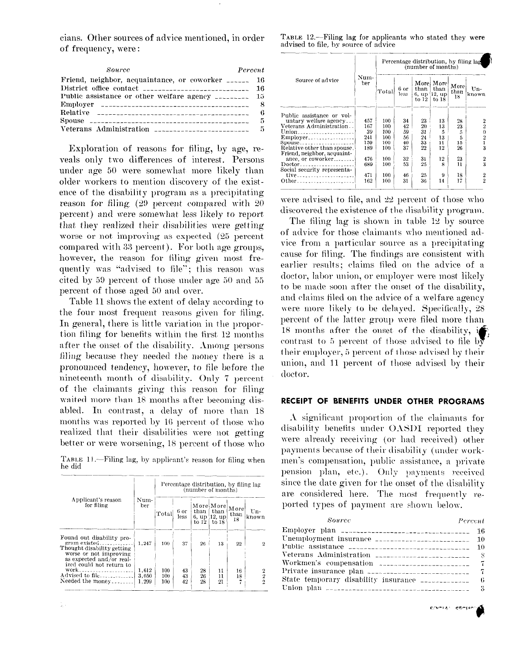cians. Other sources of advice mentioned, in order of frequency, were:

|  |  | TABLE 12.--Filing lag for applicants who stated they were |  |  |
|--|--|-----------------------------------------------------------|--|--|
|  |  | advised to file, by source of advice                      |  |  |

| Percent<br>Source                                      |  |
|--------------------------------------------------------|--|
| Friend, neighbor, acquaintance, or coworker _______ 16 |  |
| District office contact $\frac{1}{2}$                  |  |
| Public assistance or other welfare agency _________ 15 |  |
| Employer $\frac{1}{2}$                                 |  |
| Relative $\frac{1}{1}$                                 |  |
| Spouse $\frac{5}{2}$                                   |  |
|                                                        |  |

Exploration of reasons for filing, by age, reveals only two differences of interest. Persons under age 50 were somewhat more likely than older workers to mention discovery of the existence of the disability program as a precipitating reason for filing  $(29)$  percent compared with  $20$ percent) and were somewhat less likely to report that they realized their disabilities were getting worse or not improving as expected (25 percent compared with 33 percent). For both age groups, however, the reason for filing given most frequently was "advised to file"; this reason was cited by 59 percent of those under age 50 and 55 percent of those aged 50 and over.

Table 11 shows the extent of delay according to the four most frequent reasons given for filing. In general, there is little variation in the proportion filing for benefits within the first 12 months after the onset of the disability. Among persons filing because they needed the money there is a pronounced tendency, however, to file before the nineteenth month of disability. Only 7 percent of the claimants giving this reason for filing waited more than 18 months after becoming disabled. In contrast, a delay of more than 18 months was reported by 16 percent of those who realized that their disabilities were not getting better or were worsening, 18 percent of those who

TABLE 11.—Filing lag, by applicant's reason for filing when he did

| Applicant's reason<br>for filing                                                                                                                          | Num-<br>ber             | Percentage distribution, by filing lag<br>(number of months) |                |                |                                                     |                    |                    |  |
|-----------------------------------------------------------------------------------------------------------------------------------------------------------|-------------------------|--------------------------------------------------------------|----------------|----------------|-----------------------------------------------------|--------------------|--------------------|--|
|                                                                                                                                                           |                         | Total                                                        | 6 or<br>less   | to 12          | More More<br>$than$   than<br>6, up 12, up<br>to 18 | More<br>than<br>18 | $Un-$<br>known     |  |
| Found out disability pro-<br>gram existed<br>Thought disability getting<br>worse or not improving<br>as expected and/or real-<br>ized could not return to | 1,247                   | 100                                                          | 37             | 26             | 13                                                  | 22                 | $\mathbf 2$        |  |
| work<br>Advised to file____________<br>Needed the money                                                                                                   | 1.612<br>3.050<br>1.299 | 100<br>100<br>100                                            | 43<br>43<br>42 | 28<br>26<br>28 | 11<br>11<br>21                                      | 16<br>18           | 2<br>$\frac{2}{2}$ |  |

| Source of advice                                                                                                                                                                                                                                                 | Num-<br>ber                                                | Percentage distribution, by filing lag<br>(number of months) |                                                    |                                                         |                                                 |                                                  |                                       |  |  |
|------------------------------------------------------------------------------------------------------------------------------------------------------------------------------------------------------------------------------------------------------------------|------------------------------------------------------------|--------------------------------------------------------------|----------------------------------------------------|---------------------------------------------------------|-------------------------------------------------|--------------------------------------------------|---------------------------------------|--|--|
|                                                                                                                                                                                                                                                                  |                                                            | Total                                                        | 6 or<br>less                                       | than<br>6. up  <br>to 12                                | Morel Morel<br>than<br>12. up<br>to 18          | More<br>than<br>18                               | Un-<br>known                          |  |  |
| Public assistance or vol-<br>untary welfare agency<br>Veterans Administration<br>Union<br>Relative other than spouse.<br>Friend, neighbor, acquaint-<br>ance, or coworker<br>$Doctor$ <sub>rra</sub> ,,,,,,,,,,,,,,,,,,,,<br>Social security representa-<br>tive | 457<br>167<br>39<br>241<br>159<br>189<br>476<br>689<br>471 | 100<br>100<br>100<br>100<br>100<br>100<br>100<br>100<br>100  | 34<br>42<br>59<br>56<br>40<br>37<br>32<br>53<br>46 | 23<br>20<br>31<br>24<br>33<br>$^{22}$<br>31<br>25<br>25 | 13<br>13<br>5<br>13<br>11<br>12<br>12<br>я<br>9 | 28<br>23<br>5<br>5<br>15<br>26<br>23<br>11<br>18 | 2<br>$\frac{20}{21}$<br>$\frac{2}{3}$ |  |  |
| Other                                                                                                                                                                                                                                                            | 162                                                        | 100                                                          | 31                                                 | 36                                                      | 14                                              | 17                                               | $\frac{2}{2}$                         |  |  |

were advised to file, and 22 percent of those who discovered the existence of the disability program.

The filing lag is shown in table 12 by source of advice for those claimants who mentioned advice from a particular source as a precipitating cause for filing. The findings are consistent with earlier results; claims filed on the advice of a doctor, labor union, or employer were most likely to be made soon after the onset of the disability, and claims filed on the advice of a welfare agency were more likely to be delayed. Specifically, 28 percent of the latter group were filed more than 18 months after the onset of the disability, i contrast to 5 percent of those advised to file by their employer, 5 percent of those advised by their union, and 11 percent of those advised by their doctor.

#### RECEIPT OF BENEFITS UNDER OTHER PROGRAMS

A significant proportion of the claimants for disability benefits under OASDI reported they were already receiving (or had received) other payments because of their disability (under workmen's compensation, public assistance, a private pension plan, etc.). Only payments received since the date given for the onset of the disability are considered here. The most frequently reported types of payment are shown below.

| Source<br>Percent                                 |  |
|---------------------------------------------------|--|
| Employer plan ________________________________ 16 |  |
|                                                   |  |
| Public assistance $\frac{1}{2}$                   |  |
|                                                   |  |
|                                                   |  |
|                                                   |  |
|                                                   |  |
|                                                   |  |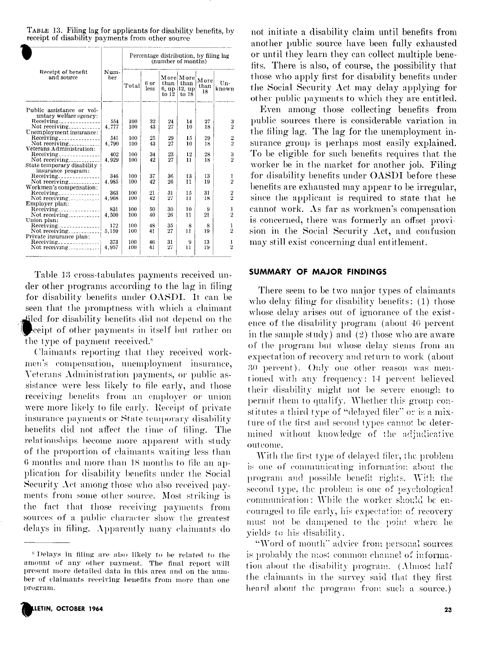| TABLE 13. Filing lag for applicants for disability benefits, by |
|-----------------------------------------------------------------|
| receipt of disability payments from other source                |

|                                                     | Num-<br>ber | Percentage distribution, by filing lag<br>(number of months) |              |       |                                                   |                    |                |  |
|-----------------------------------------------------|-------------|--------------------------------------------------------------|--------------|-------|---------------------------------------------------|--------------------|----------------|--|
| Receipt of benefit<br>and source                    |             | Total                                                        | 6 or<br>less | to 12 | More More<br>$than$ than<br>6. up 12. up<br>to 18 | More<br>than<br>18 | Un-<br>known   |  |
| Public assistance or vol-                           |             |                                                              |              |       |                                                   |                    |                |  |
| untary welfare agency:                              |             |                                                              |              |       |                                                   |                    |                |  |
|                                                     | 554         | 100                                                          | 32           | 24    | 14                                                | 27                 |                |  |
|                                                     | 4,777       | 100                                                          | 43           | 27    | 10                                                | 18                 | $\frac{3}{2}$  |  |
| Unemployment insurance:                             |             |                                                              |              |       |                                                   |                    |                |  |
| Receiving                                           | 541         | 100                                                          | 25           | 29    | 15                                                | 29                 |                |  |
|                                                     | 4.790       | 100                                                          | 43           | 27    | 10                                                | 18                 | $\frac{2}{2}$  |  |
| Veterans Administration:                            |             |                                                              |              |       |                                                   |                    |                |  |
| Receiving                                           | 402         | 100                                                          | 34           | 23    | 12                                                | 28                 | 3              |  |
| Not receiving                                       | 4.929       | 100                                                          | 42           | 27    | 11                                                | 18                 | $\overline{2}$ |  |
| State temporary disability                          |             |                                                              |              |       |                                                   |                    |                |  |
| insurance program:                                  |             |                                                              |              |       |                                                   |                    |                |  |
|                                                     | 346         | 100                                                          | 37           | 36    | 13                                                | 13                 | 1              |  |
| Not receiving                                       | 4.985       | 100                                                          | 42           | 26    | 11                                                | 19                 | $\overline{2}$ |  |
| Workmen's compensation:                             |             |                                                              |              |       |                                                   |                    |                |  |
| $\text{Receiving}$                                  | 363         | 100                                                          | 21           | 31    | 15                                                | 31                 | $\frac{2}{2}$  |  |
|                                                     | 4,968       | 100                                                          | 42           | 27    | $\mathbf{H}$                                      | 18                 |                |  |
| Employer plan:                                      |             |                                                              |              |       |                                                   |                    |                |  |
| $\text{Receiving} \text{---} \text{---} \text{---}$ | 831         | 100                                                          | 50           | 30    | 10                                                | 9                  | 1              |  |
|                                                     | 4,500       | 100                                                          | 40           | 26    | $\mathbf{11}$                                     | 21                 | $\overline{2}$ |  |
| Union plan:                                         |             |                                                              |              |       |                                                   |                    |                |  |
| $Receiving$ <sub>-----------------</sub>            | 172         | 100                                                          | 48           | 35    | 8                                                 | 8                  | 1              |  |
| Not receiving                                       | 5,159       | 100                                                          | 41           | 27    | 11                                                | 19                 | $\overline{2}$ |  |
| Private insurance plan:                             |             |                                                              |              |       |                                                   |                    |                |  |
|                                                     | 373         | 100                                                          | 46           | 31    | 9                                                 | 13                 | 1              |  |
| Not receiving                                       | 4,957       | 100                                                          | 41           | 27    | $\mathbf{1}$                                      | 19                 | $\overline{2}$ |  |

Table 13 cross-tabulates payments received under other programs according to the lag in filing for disability benefits under OASDI. It can be seen that the promptness with which a claimant filed for disability benefits did not depend on the evel get of other payments in itself but rather on the type of payment received.<sup>8</sup>

Claimants reporting that they received workmen's compensation, unemployment insurance, Veterans Administration payments, or public assistance were less likely to file early, and those receiving benefits from an employer or union were more likely to file early. Receipt of private insurance payments or State temporary disability benefits did not affect the time of filing. The relationships become more apparent with study of the proportion of claimants waiting less than 6 months and more than 18 months to file an application for disability benefits under the Social Security Act among those who also received payments from some other source. Most striking is the fact that those receiving payments from sources of a public character show the greatest delays in filing. Apparently many claimants do

<sup>&</sup>lt;sup>8</sup> Delays in filing are also likely to be related to the amount of any other payment. The final report will present more detailed data in this area and on the number of claimants receiving benefits from more than one program.



not initiate a disability claim until benefits from another public source have been fully exhausted or until they learn they can collect multiple benefits. There is also, of course, the possibility that those who apply first for disability benefits under the Social Security Act may delay applying for other public payments to which they are entitled.

Even among those collecting benefits from public sources there is considerable variation in the filing lag. The lag for the unemployment insurance group is perhaps most easily explained. To be eligible for such benefits requires that the worker be in the market for another job. Filing for disability benefits under OASDI before these benefits are exhausted may appear to be irregular, since the applicant is required to state that he cannot work. As far as workmen's compensation is concerned, there was formerly an offset provision in the Social Security Act, and confusion may still exist concerning dual entitlement.

#### **SUMMARY OF MAJOR FINDINGS**

There seem to be two major types of claimants who delay filing for disability benefits: (1) those whose delay arises out of ignorance of the existence of the disability program (about 40 percent in the sample study) and  $(2)$  those who are aware of the program but whose delay stems from an expectation of recovery and return to work (about 30 percent). Only one other reason was mentioned with any frequency: 14 percent believed their disability might not be severe enough to permit them to qualify. Whether this group constitutes a third type of "delayed filer" or is a mixture of the first and second types cannot be determined without knowledge of the adjudicative outcome.

With the first type of delayed filer, the problem is one of communicating information about the program and possible benefit rights. With the second type, the problem is one of psychological communication: While the worker should be encouraged to file early, his expectation of recovery must not be dampened to the point where he vields to his disability.

"Word of mouth" advice from personal sources is probably the most common channel of information about the disability program. (Almost half the claimants in the survey said that they first heard about the program from such a source.)